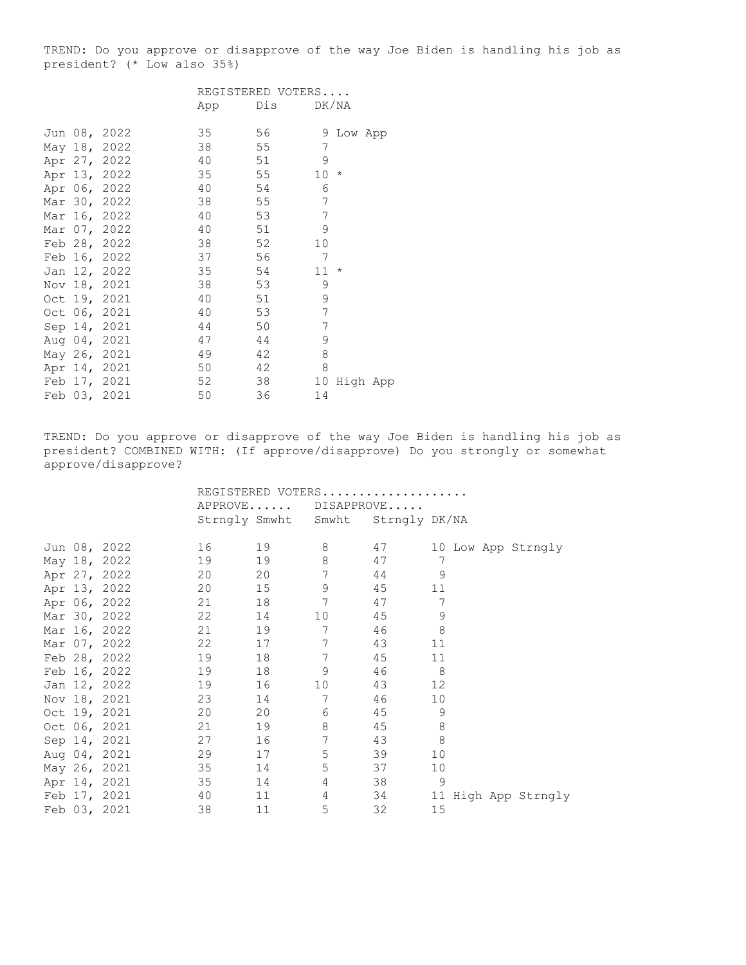TREND: Do you approve or disapprove of the way Joe Biden is handling his job as president? (\* Low also 35%)

|  |              |     | REGISTERED VOTERS |    |            |  |
|--|--------------|-----|-------------------|----|------------|--|
|  |              | App | Dis               |    | DK/NA      |  |
|  |              |     |                   |    |            |  |
|  | Jun 08, 2022 | 35  | 56                |    | 9 Low App  |  |
|  | May 18, 2022 | 38  | 55                | 7  |            |  |
|  | Apr 27, 2022 | 40  | 51                | 9  |            |  |
|  | Apr 13, 2022 | 35  | 55                | 10 | $\star$    |  |
|  | Apr 06, 2022 | 40  | 54                | 6  |            |  |
|  | Mar 30, 2022 | 38  | 55                | 7  |            |  |
|  | Mar 16, 2022 | 40  | 53                | 7  |            |  |
|  | Mar 07, 2022 | 40  | 51                | 9  |            |  |
|  | Feb 28, 2022 | 38  | 52                | 10 |            |  |
|  | Feb 16, 2022 | 37  | 56                | 7  |            |  |
|  | Jan 12, 2022 | 35  | 54                | 11 | $^{\star}$ |  |
|  | Nov 18, 2021 | 38  | 53                | 9  |            |  |
|  | Oct 19, 2021 | 40  | 51                | 9  |            |  |
|  | Oct 06, 2021 | 40  | 53                | 7  |            |  |
|  | Sep 14, 2021 | 44  | 50                | 7  |            |  |
|  | Aug 04, 2021 | 47  | 44                | 9  |            |  |
|  | May 26, 2021 | 49  | 42                | 8  |            |  |
|  | Apr 14, 2021 | 50  | 42                | 8  |            |  |
|  | Feb 17, 2021 | 52  | 38                | 10 | High App   |  |
|  | Feb 03, 2021 | 50  | 36                | 14 |            |  |

TREND: Do you approve or disapprove of the way Joe Biden is handling his job as president? COMBINED WITH: (If approve/disapprove) Do you strongly or somewhat approve/disapprove?

|  |              | REGISTERED VOTERS |               |                                   |                      |                        |
|--|--------------|-------------------|---------------|-----------------------------------|----------------------|------------------------|
|  |              |                   |               | APPROVE DISAPPROVE                |                      |                        |
|  |              |                   |               | Strngly Smwht Smwht Strngly DK/NA |                      |                        |
|  |              |                   |               |                                   |                      |                        |
|  | Jun 08, 2022 | 16 16             | 19            | 8                                 | 47                   | 10 Low App Strngly     |
|  | May 18, 2022 | 19                | 19            | 8                                 | 47                   | 7                      |
|  | Apr 27, 2022 | 20                | 20            | 7                                 | 44                   | 9                      |
|  | Apr 13, 2022 | 20                | 15            | 9                                 | 45 11                |                        |
|  | Apr 06, 2022 | 21                |               | $7\phantom{.0}$                   | 47                   | 7                      |
|  | Mar 30, 2022 | 22 and $\sim$     | 14            | 10                                | 45                   | $\mathsf 9$            |
|  | Mar 16, 2022 | 21                | 19            | $7\phantom{.0}$                   | 46                   | $\,8\,$                |
|  | Mar 07, 2022 | 22 and $\sim$     | 17 7          |                                   | 43                   | 11                     |
|  | Feb 28, 2022 | 19                | 18 7          |                                   | 45                   | 11                     |
|  | Feb 16, 2022 | 19                |               | 9                                 | 8 <sup>1</sup><br>46 |                        |
|  | Jan 12, 2022 | 19                | 16            | 10                                | 43                   | 12                     |
|  | Nov 18, 2021 | 23                | 14 and $\sim$ | $7\phantom{.0}$                   | 46                   | 10                     |
|  | Oct 19, 2021 | 20                | 20            | 6                                 | 45 9                 |                        |
|  | Oct 06, 2021 | 21                | 19            | 8                                 | 45                   | $\,8\,$                |
|  | Sep 14, 2021 | 27                |               | $\overline{7}$                    | 43                   | $\,8\,$                |
|  | Aug 04, 2021 | 29                |               | 5                                 | 39                   | 10                     |
|  | May 26, 2021 | 35                | 14 and $\sim$ | 5                                 | 37                   | 10                     |
|  | Apr 14, 2021 | 35                |               | $4\degree$                        | 38 9                 |                        |
|  | Feb 17, 2021 | 40                | 11 — 1        | 4                                 |                      | 34 11 High App Strngly |
|  | Feb 03, 2021 | 38                | 11            | 5                                 | 32                   | 15                     |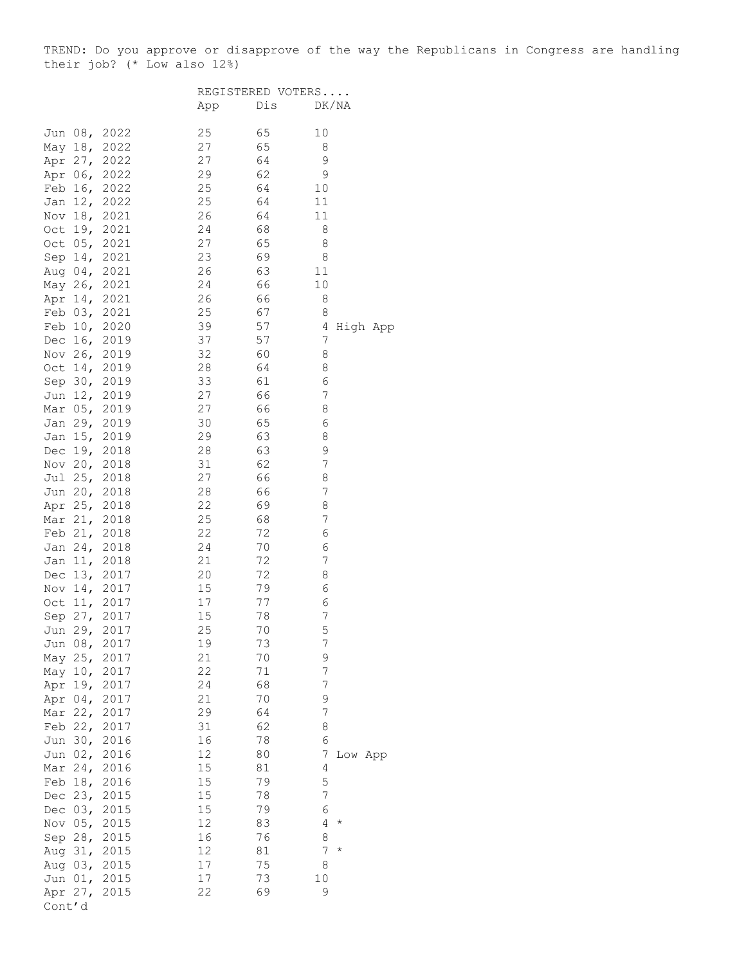TREND: Do you approve or disapprove of the way the Republicans in Congress are handling their job? (\* Low also 12%)

|            |           |              |          | REGISTERED VOTERS |                 |  |
|------------|-----------|--------------|----------|-------------------|-----------------|--|
|            |           |              | App      | Dis               | DK/NA           |  |
| Jun        | 08,       | 2022         | 25       | 65                | 10              |  |
| May 18,    |           | 2022         | 27       | 65                | 8               |  |
| Apr 27,    |           | 2022         | 27       | 64                | 9               |  |
| Apr 06,    |           | 2022         | 29       | 62                | 9               |  |
| Feb 16,    |           | 2022         | 25       | 64                | 10              |  |
| Jan 12,    |           | 2022         | 25       | 64                | 11              |  |
| Nov 18,    |           | 2021         | 26       | 64                | 11              |  |
| Oct 19,    |           | 2021         | 24       | 68                | 8               |  |
| Oct 05,    |           | 2021         | 27       | 65                | 8               |  |
|            | Sep $14,$ | 2021         | 23       | 69                | 8               |  |
|            | Aug 04,   | 2021         | 26       | 63                | 11              |  |
|            | May 26,   | 2021         | 24       | 66                | 10              |  |
| Apr 14,    |           | 2021         | 26       | 66                | 8               |  |
| Feb 03,    |           | 2021         | 25       | 67                | 8               |  |
| Feb 10,    |           | 2020         | 39       | 57                | 4<br>High App   |  |
| Dec $16,$  |           | 2019         | 37       | 57                | 7               |  |
| Nov 26,    |           | 2019         | 32       | 60                | 8               |  |
| Oct $14,$  |           | 2019         | 28       | 64                | 8               |  |
|            | Sep 30,   | 2019         | 33       | 61                | 6               |  |
|            | Jun 12,   | 2019         | 27       | 66                | 7               |  |
| Mar $05$ , |           | 2019         | 27       | 66                | 8               |  |
| Jan 29,    |           | 2019         | 30       | 65                | 6               |  |
| Jan 15,    |           | 2019         | 29       | 63                | 8               |  |
| Dec 19,    |           | 2018         | 28       | 63                | 9               |  |
| Nov 20,    |           | 2018         | 31       | 62                | 7               |  |
| Jul 25,    |           | 2018         | 27       | 66                | 8               |  |
|            | Jun 20,   | 2018         | 28       | 66                | 7               |  |
|            | Apr 25,   | 2018         | 22       | 69                | 8               |  |
|            | Mar 21,   | 2018         | 25       | 68                | 7               |  |
| Feb 21,    |           | 2018         | 22       | 72                | 6               |  |
| Jan 24,    |           | 2018         | 24       | 70                | 6               |  |
| Jan 11,    |           | 2018         | 21       | 72                | 7               |  |
| Dec 13,    |           | 2017         | 20       | 72                | 8               |  |
| Nov $14,$  |           | 2017         | 15       | 79                | 6               |  |
| Oct        | 11,       | 2017         | 17       | 77                | 6               |  |
| Sep 27,    |           | 2017         | 15       | 78                | 7               |  |
|            |           | Jun 29, 2017 | 25       | 70                | 5               |  |
| Jun        | 08,       | 2017         | 19       | 73                | 7               |  |
| May        | 25,       | 2017         | 21<br>22 | 70<br>71          | 9<br>7          |  |
| May 10,    | 19,       | 2017<br>2017 | 24       | 68                | $\overline{7}$  |  |
| Apr        | $04$ ,    | 2017         | 21       | 70                | 9               |  |
| Apr<br>Mar | 22,       | 2017         | 29       | 64                | 7               |  |
| Feb 22,    |           | 2017         | 31       | 62                | 8               |  |
| Jun 30,    |           | 2016         | 16       | 78                | 6               |  |
| Jun 02,    |           | 2016         | 12       | 80                | 7<br>Low App    |  |
| Mar 24,    |           | 2016         | 15       | 81                | 4               |  |
| Feb 18,    |           | 2016         | 15       | 79                | 5               |  |
| Dec        | 23,       | 2015         | 15       | 78                | $\overline{7}$  |  |
| Dec 03,    |           | 2015         | 15       | 79                | 6               |  |
| Nov $05,$  |           | 2015         | 12       | 83                | 4<br>$\star$    |  |
| Sep 28,    |           | 2015         | 16       | 76                | 8               |  |
| Aug 31,    |           | 2015         | 12       | 81                | 7<br>$^{\star}$ |  |
| Aug 03,    |           | 2015         | 17       | 75                | 8               |  |
|            | Jun 01,   | 2015         | 17       | 73                | 10              |  |
| Apr 27,    |           | 2015         | 22       | 69                | 9               |  |
| Cont'd     |           |              |          |                   |                 |  |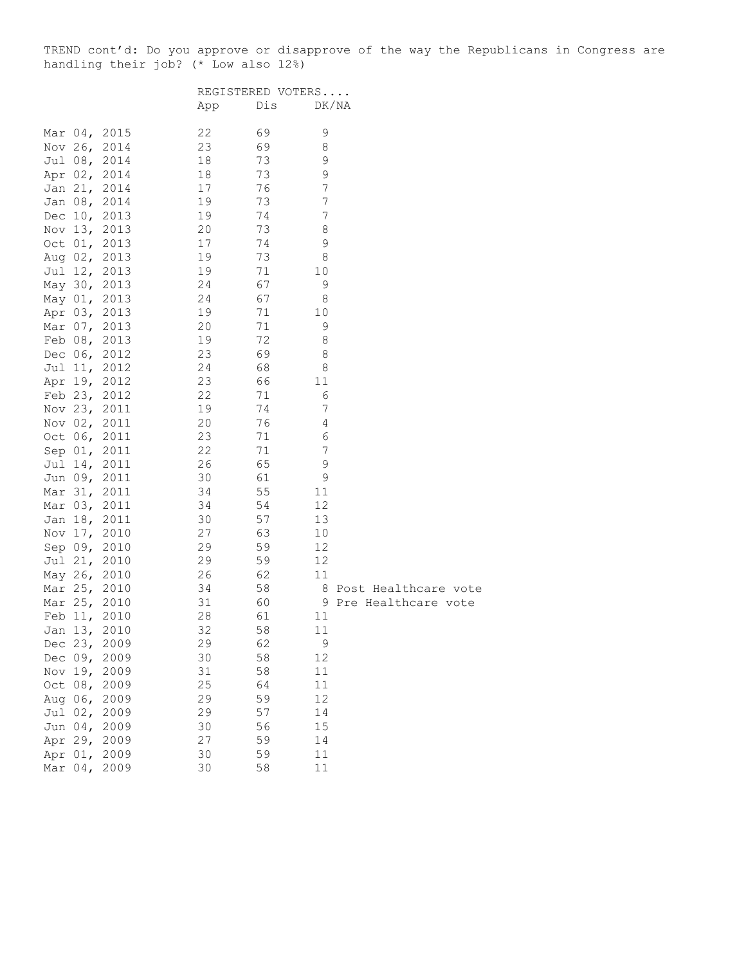TREND cont'd: Do you approve or disapprove of the way the Republicans in Congress are handling their job? (\* Low also 12%)

|  |              |     | REGISTERED VOTERS |             |                        |
|--|--------------|-----|-------------------|-------------|------------------------|
|  |              | App | Dis               |             | DK/NA                  |
|  | Mar 04, 2015 | 22  | 69                | 9           |                        |
|  | Nov 26, 2014 | 23  | 69                | 8           |                        |
|  | Jul 08, 2014 | 18  | 73                | 9           |                        |
|  | Apr 02, 2014 | 18  | 73                | $\mathsf 9$ |                        |
|  | Jan 21, 2014 | 17  | 76                | 7           |                        |
|  | Jan 08, 2014 | 19  | 73                | 7           |                        |
|  | Dec 10, 2013 | 19  | 74                | 7           |                        |
|  | Nov 13, 2013 | 20  | 73                | 8           |                        |
|  | Oct 01, 2013 | 17  | 74                | 9           |                        |
|  | Aug 02, 2013 | 19  | 73                | 8           |                        |
|  | Jul 12, 2013 | 19  | 71                | 10          |                        |
|  | May 30, 2013 | 24  | 67                | 9           |                        |
|  | May 01, 2013 | 24  | 67                | 8           |                        |
|  | Apr 03, 2013 | 19  | 71                | 10          |                        |
|  | Mar 07, 2013 | 20  | 71                | 9           |                        |
|  | Feb 08, 2013 | 19  | 72                | 8           |                        |
|  | Dec 06, 2012 | 23  | 69                | 8           |                        |
|  | Jul 11, 2012 | 24  | 68                | 8           |                        |
|  | Apr 19, 2012 | 23  | 66                | 11          |                        |
|  | Feb 23, 2012 | 22  | 71                | 6           |                        |
|  | Nov 23, 2011 | 19  | 74                | 7           |                        |
|  |              |     |                   |             |                        |
|  | Nov 02, 2011 | 20  | 76                | 4           |                        |
|  | Oct 06, 2011 | 23  | 71                | 6           |                        |
|  | Sep 01, 2011 | 22  | 71                | 7           |                        |
|  | Jul 14, 2011 | 26  | 65                | 9           |                        |
|  | Jun 09, 2011 | 30  | 61                | 9           |                        |
|  | Mar 31, 2011 | 34  | 55                | 11          |                        |
|  | Mar 03, 2011 | 34  | 54                | 12          |                        |
|  | Jan 18, 2011 | 30  | 57                | 13          |                        |
|  | Nov 17, 2010 | 27  | 63                | 10          |                        |
|  | Sep 09, 2010 | 29  | 59                | 12          |                        |
|  | Jul 21, 2010 | 29  | 59                | 12          |                        |
|  | May 26, 2010 | 26  | 62                | 11          |                        |
|  | Mar 25, 2010 | 34  | 58                |             | 8 Post Healthcare vote |
|  | Mar 25, 2010 | 31  | 60                |             | 9 Pre Healthcare vote  |
|  | Feb 11, 2010 | 28  | 61                | 11          |                        |
|  | Jan 13, 2010 | 32  | 58                | 11          |                        |
|  | Dec 23, 2009 | 29  | 62                | 9           |                        |
|  | Dec 09, 2009 | 30  | 58                | 12          |                        |
|  | Nov 19, 2009 | 31  | 58                | 11          |                        |
|  | Oct 08, 2009 | 25  | 64                | 11          |                        |
|  | Aug 06, 2009 | 29  | 59                | 12          |                        |
|  | Jul 02, 2009 | 29  | 57                | 14          |                        |
|  | Jun 04, 2009 | 30  | 56                | 15          |                        |
|  | Apr 29, 2009 | 27  | 59                | 14          |                        |
|  | Apr 01, 2009 | 30  | 59                | 11          |                        |
|  | Mar 04, 2009 | 30  | 58                | 11          |                        |
|  |              |     |                   |             |                        |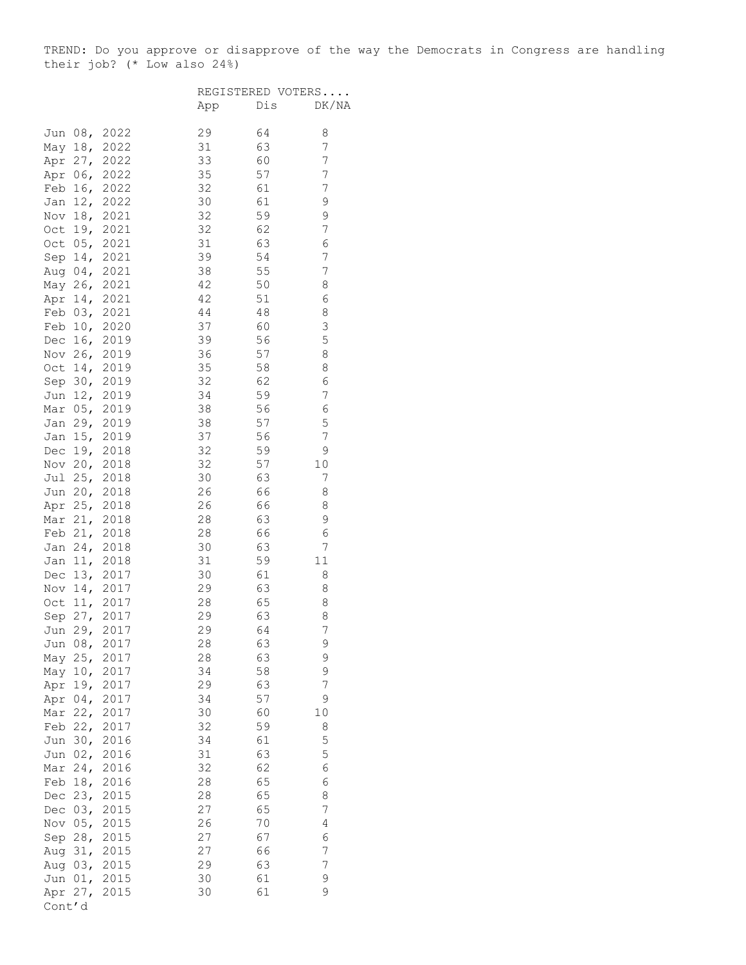TREND: Do you approve or disapprove of the way the Democrats in Congress are handling their job? (\* Low also 24%)

|         |                 |              |        | REGISTERED VOTERS |                  |
|---------|-----------------|--------------|--------|-------------------|------------------|
|         |                 |              | App    | Dis               | DK/NA            |
| Jun     |                 | 08, 2022     | 29     | 64                | 8                |
|         |                 | May 18, 2022 | 31     | 63                | 7                |
|         |                 | Apr 27, 2022 | 33     | 60                | 7                |
| Apr     |                 | 06, 2022     | 35     | 57                | 7                |
|         | Feb 16,         | 2022         | 32     | 61                | $\boldsymbol{7}$ |
|         | Jan 12,         | 2022         | 30     | 61                | 9                |
|         | Nov 18,         | 2021         | 32     | 59                | 9                |
| Oct     |                 | 19, 2021     | 32     | 62                | 7                |
| Oct     |                 | 05, 2021     | 31     | 63                | 6                |
|         |                 | Sep 14, 2021 | 39     | 54                | 7                |
|         |                 | Aug 04, 2021 | 38     | 55                | 7                |
|         |                 | May 26, 2021 | 42     | 50                | 8                |
|         |                 | Apr 14, 2021 | 42     | 51                | 6                |
|         | Feb $03,$       | 2021         | $4\,4$ | $4\,8$            | 8                |
|         | Feb $10,$       | 2020         | 37     | 60                | 3                |
|         | Dec $16,$       | 2019         | 39     | 56                | 5                |
| Nov     | 26 <sub>1</sub> | 2019         | 36     | 57                | 8                |
| Oct     | 14,             | 2019         | 35     | 58                | 8                |
|         |                 | Sep 30, 2019 | 32     | 62                | 6                |
|         |                 | Jun 12, 2019 | 34     | 59                | 7                |
|         |                 | Mar 05, 2019 | 38     | 56                | 6                |
|         |                 | Jan 29, 2019 | 38     | 57                | 5                |
|         |                 | Jan 15, 2019 | 37     | 56                | 7                |
|         | Dec $19,$       | 2018         | 32     | 59                | $\mathsf 9$      |
|         | Nov 20,         | 2018         | 32     | 57                | $10$             |
| Jul     | 25 <sub>1</sub> | 2018         | 30     | 63                | 7                |
|         |                 | Jun 20, 2018 | 26     | 66                | 8                |
|         |                 | Apr 25, 2018 | 26     | 66                | 8                |
|         |                 | Mar 21, 2018 | 28     | 63                | 9                |
|         |                 | Feb 21, 2018 | 28     | 66                | 6                |
|         |                 | Jan 24, 2018 | 30     | 63                | 7                |
| Jan     | 11,             | 2018         | 31     | 59                | $11\,$           |
| Dec     | 13,             | 2017         | 30     | 61                | 8                |
| Nov     | 14,             | 2017         | 29     | 63                | 8                |
| Oct     | 11,             | 2017         | 28     | 65                | 8                |
|         | Sep $27$ ,      | 2017         | 29     | 63                | 8                |
| Jun     | 29.             | 2017         | 29     | 64                | 7                |
| Jun     | 08 <sub>r</sub> | 2017         | 28     | 63                | 9                |
| May     | 25 <sub>1</sub> | 2017         | 28     | 63                | 9                |
| May     | 10,             | 2017         | 34     | 58                | 9                |
| Apr     | 19,             | 2017         | 29     | 63                | 7                |
| Apr     | 04 <sub>1</sub> | 2017         | 34     | 57                | 9                |
| Mar     | 22,             | 2017         | 30     | 60                | $10$             |
|         | Feb $22,$       | 2017         | 32     | 59                | 8                |
| Jun     | 30 <sub>r</sub> | 2016         | 34     | 61                | 5                |
| Jun     | 02 <sub>r</sub> | 2016         | 31     | 63                | 5                |
| Mar     | 24 <sub>1</sub> | 2016         | 32     | 62                | 6                |
|         | Feb 18,         | 2016         | 28     | 65                | 6                |
| Dec     | 23,             | 2015         | 28     | 65                | 8                |
| Dec     | 03,             | 2015         | 27     | 65                | $\boldsymbol{7}$ |
| Nov     | 05,             | 2015         | 26     | 70                | 4                |
| Sep 28, |                 | 2015         | 27     | 67                | 6                |
| Aug     | 31,             | 2015         | 27     | 66                | 7                |
|         | Aug 03,         | 2015         | 29     | 63                | 7                |
| Jun     | 01,             | 2015         | 30     | 61                | 9                |
|         | Apr 27,         | 2015         | 30     | 61                | 9                |
| Cont'd  |                 |              |        |                   |                  |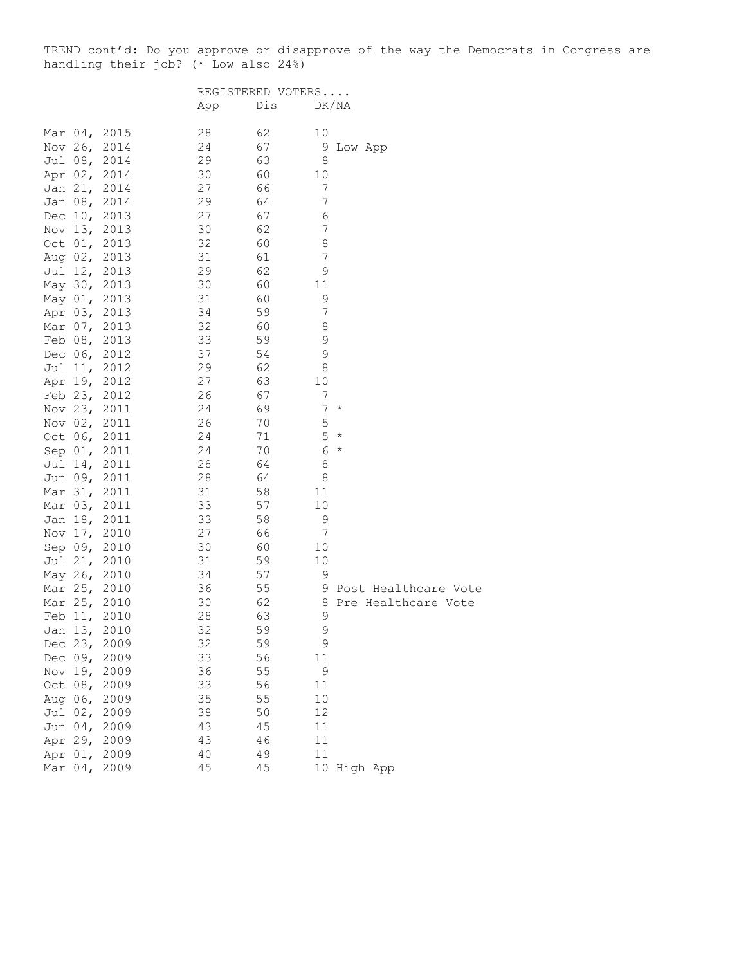TREND cont'd: Do you approve or disapprove of the way the Democrats in Congress are handling their job? (\* Low also 24%)

|              |      |     | REGISTERED VOTERS |                |                        |
|--------------|------|-----|-------------------|----------------|------------------------|
|              |      | App | Dis               |                | DK/NA                  |
| Mar 04, 2015 |      | 28  | 62                | 10             |                        |
| Nov 26, 2014 |      | 24  | 67                | 9              | Low App                |
| Jul 08, 2014 |      | 29  | 63                | 8              |                        |
| Apr 02, 2014 |      | 30  | 60                | 10             |                        |
| Jan 21, 2014 |      | 27  | 66                | $\overline{7}$ |                        |
| Jan 08, 2014 |      | 29  | 64                | 7              |                        |
| Dec 10, 2013 |      | 27  | 67                | 6              |                        |
| Nov 13, 2013 |      | 30  | 62                | 7              |                        |
| Oct 01, 2013 |      | 32  | 60                | 8              |                        |
| Aug 02, 2013 |      | 31  | 61                | 7              |                        |
| Jul 12, 2013 |      | 29  | 62                | 9              |                        |
| May 30, 2013 |      | 30  | 60                | 11             |                        |
| May 01, 2013 |      | 31  | 60                | 9              |                        |
| Apr 03, 2013 |      | 34  | 59                | 7              |                        |
| Mar 07, 2013 |      | 32  | 60                | 8              |                        |
| Feb 08, 2013 |      | 33  | 59                | 9              |                        |
| Dec 06, 2012 |      | 37  | 54                | $\mathsf 9$    |                        |
| Jul 11, 2012 |      | 29  | 62                | 8              |                        |
| Apr 19, 2012 |      | 27  | 63                | 10             |                        |
| Feb 23, 2012 |      | 26  | 67                | 7              |                        |
| Nov 23, 2011 |      | 24  | 69                | 7              | $\star$                |
| Nov 02, 2011 |      | 26  | 70                | 5              |                        |
| Oct 06, 2011 |      | 24  | 71                | 5              | $\star$                |
| Sep 01, 2011 |      | 24  | 70                | 6              | $\star$                |
| Jul 14, 2011 |      | 28  | 64                | 8              |                        |
| Jun 09, 2011 |      | 28  | 64                | 8              |                        |
| Mar 31, 2011 |      | 31  | 58                | 11             |                        |
| Mar 03, 2011 |      | 33  | 57                | 10             |                        |
| Jan 18, 2011 |      | 33  | 58                | 9              |                        |
| Nov 17, 2010 |      | 27  | 66                | 7              |                        |
| Sep 09, 2010 |      | 30  | 60                | 10             |                        |
| Jul 21, 2010 |      | 31  | 59                | 10             |                        |
| May 26, 2010 |      | 34  | 57                | 9              |                        |
| Mar 25, 2010 |      | 36  | 55                |                | 9 Post Healthcare Vote |
| Mar 25, 2010 |      | 30  | 62                |                | 8 Pre Healthcare Vote  |
| Feb 11, 2010 |      | 28  | 63                | 9              |                        |
| Jan 13, 2010 |      | 32  | 59                | 9              |                        |
| Dec 23,      | 2009 | 32  | 59                | 9              |                        |
| Dec 09, 2009 |      | 33  | 56                | 11             |                        |
| Nov 19, 2009 |      | 36  | 55                | $\mathsf 9$    |                        |
| Oct 08, 2009 |      | 33  | 56                | 11             |                        |
| Aug 06, 2009 |      | 35  | 55                | 10             |                        |
| Jul 02, 2009 |      | 38  | 50                | 12             |                        |
| Jun 04, 2009 |      | 43  | 45                | 11             |                        |
| Apr 29, 2009 |      | 43  | 46                | 11             |                        |
| Apr 01, 2009 |      | 40  | 49                | 11             |                        |
| Mar 04, 2009 |      | 45  | 45                |                | 10 High App            |
|              |      |     |                   |                |                        |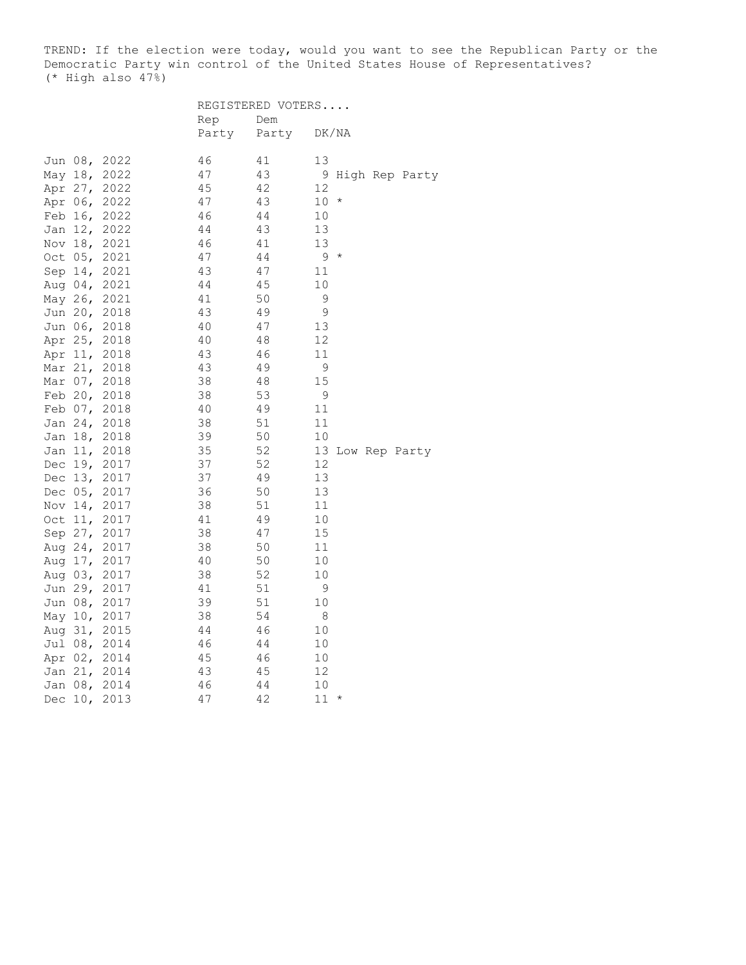TREND: If the election were today, would you want to see the Republican Party or the Democratic Party win control of the United States House of Representatives? (\* High also 47%)

|     |            |              | REGISTERED VOTERS |       |                  |  |  |
|-----|------------|--------------|-------------------|-------|------------------|--|--|
|     |            |              | Rep               | Dem   |                  |  |  |
|     |            |              | Party             | Party | DK/NA            |  |  |
|     | Jun 08,    | 2022         | 46                | 41    | 13               |  |  |
|     | May 18,    | 2022         | 47                | 43    | 9 High Rep Party |  |  |
|     | Apr 27,    | 2022         | 45                | 42    | 12               |  |  |
|     | Apr 06,    | 2022         | 47                | 43    | $10 *$           |  |  |
|     | Feb 16,    | 2022         | 46                | 44    | $10$             |  |  |
|     | Jan 12,    | 2022         | 44                | 43    | 13               |  |  |
|     | Nov 18,    | 2021         | 46                | 41    | 13               |  |  |
|     | Oct 05,    | 2021         | 47                | 44    | $9 *$            |  |  |
|     | Sep 14,    | 2021         | 43                | 47    | 11               |  |  |
|     | Aug $04$ , | 2021         | 44                | 45    | 10               |  |  |
|     | May 26,    | 2021         | 41                | 50    | 9                |  |  |
|     | Jun 20,    | 2018         | 43                | 49    | $\mathsf 9$      |  |  |
|     |            | Jun 06, 2018 | 40                | 47    | 13               |  |  |
|     | Apr 25,    | 2018         | 40                | 48    | 12               |  |  |
|     | Apr 11,    | 2018         | 43                | 46    | 11               |  |  |
|     | Mar 21,    | 2018         | 43                | 49    | 9                |  |  |
|     | Mar $07$ , | 2018         | 38                | 48    | 15               |  |  |
|     |            | Feb 20, 2018 | 38                | 53    | 9                |  |  |
|     |            | Feb 07, 2018 | 40                | 49    | 11               |  |  |
|     |            | Jan 24, 2018 | 38                | 51    | 11               |  |  |
|     |            | Jan 18, 2018 | 39                | 50    | 10               |  |  |
|     | Jan 11,    | 2018         | 35                | 52    | 13 Low Rep Party |  |  |
|     |            | Dec 19, 2017 | 37                | 52    | 12               |  |  |
|     | Dec $13,$  | 2017         | 37                | 49    | 13               |  |  |
|     | Dec 05,    | 2017         | 36                | 50    | 13               |  |  |
|     |            | Nov 14, 2017 | 38                | 51    | 11               |  |  |
|     | Oct $11,$  | 2017         | 41                | 49    | 10               |  |  |
|     | Sep 27,    | 2017         | 38                | 47    | 15               |  |  |
|     | Aug 24,    | 2017         | 38                | 50    | 11               |  |  |
|     |            | Aug 17, 2017 | 40                | 50    | 10               |  |  |
|     | Aug 03,    | 2017         | 38                | 52    | 10               |  |  |
|     | Jun 29,    | 2017         | 41                | 51    | 9                |  |  |
|     |            | Jun 08, 2017 | 39                | 51    | 10               |  |  |
|     | May $10l$  | 2017         | 38                | 54    | 8                |  |  |
|     | Aug 31,    | 2015         | 44                | 46    | 10               |  |  |
|     |            | Jul 08, 2014 | 46                | 44    | 10               |  |  |
|     |            | Apr 02, 2014 | 45                | 46    | 10               |  |  |
|     |            | Jan 21, 2014 | 43                | 45    | 12               |  |  |
|     |            | Jan 08, 2014 | 46                | 44    | 10               |  |  |
| Dec | 10,        | 2013         | 47                | 42    | 11<br>$\star$    |  |  |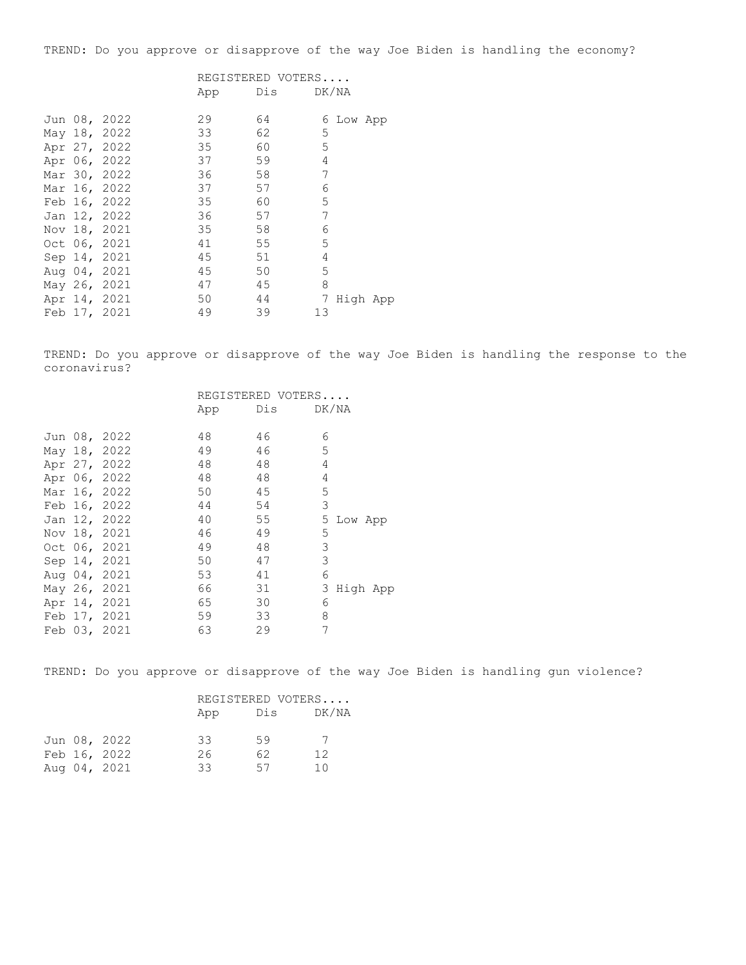TREND: Do you approve or disapprove of the way Joe Biden is handling the economy?

| REGISTERED VOTERS |     |       |
|-------------------|-----|-------|
| App               | Dis | DK/NA |

|  | Jun 08, 2022 | 29 | 64 |    | 6 Low App |  |
|--|--------------|----|----|----|-----------|--|
|  | May 18, 2022 | 33 | 62 | 5  |           |  |
|  | Apr 27, 2022 | 35 | 60 | 5  |           |  |
|  | Apr 06, 2022 | 37 | 59 | 4  |           |  |
|  | Mar 30, 2022 | 36 | 58 | 7  |           |  |
|  | Mar 16, 2022 | 37 | 57 | 6  |           |  |
|  | Feb 16, 2022 | 35 | 60 | 5  |           |  |
|  | Jan 12, 2022 | 36 | 57 | 7  |           |  |
|  | Nov 18, 2021 | 35 | 58 | 6  |           |  |
|  | Oct 06, 2021 | 41 | 55 | 5  |           |  |
|  | Sep 14, 2021 | 45 | 51 | 4  |           |  |
|  | Aug 04, 2021 | 45 | 50 | 5  |           |  |
|  | May 26, 2021 | 47 | 45 | 8  |           |  |
|  | Apr 14, 2021 | 50 | 44 | 7  | High App  |  |
|  | Feb 17, 2021 | 49 | 39 | 13 |           |  |

TREND: Do you approve or disapprove of the way Joe Biden is handling the response to the coronavirus?

|  |              | REGISTERED VOTERS |           |               |  |
|--|--------------|-------------------|-----------|---------------|--|
|  |              | App               | Dis DK/NA |               |  |
|  | Jun 08, 2022 | 48                | 46        | 6             |  |
|  | May 18, 2022 | 49                | 46        | 5             |  |
|  | Apr 27, 2022 | 48                | 48        | 4             |  |
|  | Apr 06, 2022 | 48                | 48        | 4             |  |
|  | Mar 16, 2022 | 50                | 45        | 5             |  |
|  | Feb 16, 2022 | 44                | 54        | 3             |  |
|  | Jan 12, 2022 | 40                | 55        | 5<br>Low App  |  |
|  | Nov 18, 2021 | 46                | 49        | 5             |  |
|  | Oct 06, 2021 | 49                | 48        | 3             |  |
|  | Sep 14, 2021 | 50                | 47        | 3             |  |
|  | Aug 04, 2021 | 53                | 41        | 6             |  |
|  | May 26, 2021 | 66                | 31        | 3<br>High App |  |
|  | Apr 14, 2021 | 65                | 30        | 6             |  |
|  | Feb 17, 2021 | 59                | 33        | 8             |  |
|  | Feb 03, 2021 | 63                | 29        | 7             |  |

TREND: Do you approve or disapprove of the way Joe Biden is handling gun violence?

|  |              | REGISTERED VOTERS |     |       |  |  |
|--|--------------|-------------------|-----|-------|--|--|
|  |              | App               | Dis | DK/NA |  |  |
|  | Jun 08, 2022 | 33                | 59  |       |  |  |
|  | Feb 16, 2022 | 26                | 62  | 12    |  |  |
|  | Aug 04, 2021 | 33                | 57  | 1 N   |  |  |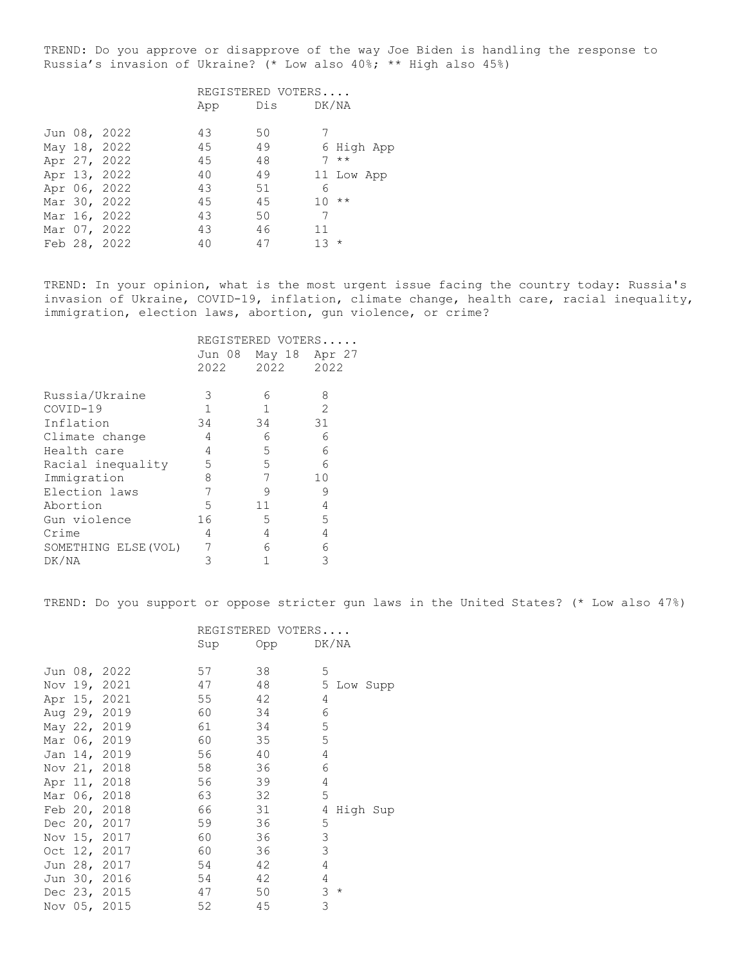TREND: Do you approve or disapprove of the way Joe Biden is handling the response to Russia's invasion of Ukraine? (\* Low also 40%; \*\* High also 45%)

|  | REGISTERED VOTERS                                                                                                                            |    |     |  |                                                                         |
|--|----------------------------------------------------------------------------------------------------------------------------------------------|----|-----|--|-------------------------------------------------------------------------|
|  | App                                                                                                                                          |    |     |  |                                                                         |
|  | 43                                                                                                                                           | 50 |     |  |                                                                         |
|  | 45                                                                                                                                           | 49 |     |  |                                                                         |
|  | 45                                                                                                                                           | 48 |     |  |                                                                         |
|  | 40                                                                                                                                           | 49 |     |  |                                                                         |
|  | 43                                                                                                                                           | 51 | 6   |  |                                                                         |
|  | 45                                                                                                                                           | 45 | 10  |  |                                                                         |
|  | 43                                                                                                                                           | 50 | 7   |  |                                                                         |
|  | 43                                                                                                                                           | 46 | 11  |  |                                                                         |
|  | 40                                                                                                                                           | 47 | 1.3 |  |                                                                         |
|  | Jun 08, 2022<br>May 18, 2022<br>Apr 27, 2022<br>Apr 13, 2022<br>Apr 06, 2022<br>Mar 30, 2022<br>Mar 16, 2022<br>Mar 07, 2022<br>Feb 28, 2022 |    | Dis |  | DK/NA<br>6 High App<br>$7 * *$<br>11 Low App<br>$\star\star$<br>$\star$ |

TREND: In your opinion, what is the most urgent issue facing the country today: Russia's invasion of Ukraine, COVID-19, inflation, climate change, health care, racial inequality, immigration, election laws, abortion, gun violence, or crime?

|                      | REGISTERED VOTERS<br>Jun 08<br>May 18<br>Apr 27 |      |                |  |  |
|----------------------|-------------------------------------------------|------|----------------|--|--|
|                      | 2022                                            | 2022 | 2022           |  |  |
| Russia/Ukraine       | 3                                               | 6    | 8              |  |  |
| $COVID-19$           | $\mathbf{1}$                                    | 1    | $\mathfrak{D}$ |  |  |
| Inflation            | 34                                              | 34   | 31             |  |  |
| Climate change       | 4                                               | 6    | 6              |  |  |
| Health care          | 4                                               | 5    | 6              |  |  |
| Racial inequality    | 5                                               | 5    | 6              |  |  |
| Immigration          | 8                                               | 7    | 10             |  |  |
| Election laws        | 7                                               | 9    | 9              |  |  |
| Abortion             | 5                                               | 11   | 4              |  |  |
| Gun violence         | 16                                              | 5    | 5              |  |  |
| Crime                | 4                                               | 4    | 4              |  |  |
| SOMETHING ELSE (VOL) |                                                 | 6    | 6              |  |  |
| DK/NA                | 3                                               |      | 3              |  |  |

TREND: Do you support or oppose stricter gun laws in the United States? (\* Low also 47%)

|  |              |     | REGISTERED VOTERS |            |            |            |
|--|--------------|-----|-------------------|------------|------------|------------|
|  |              | Sup | Opp               |            | DK/NA      |            |
|  |              |     |                   |            |            |            |
|  | Jun 08, 2022 | 57  | 38                | 5          |            |            |
|  | Nov 19, 2021 | 47  | 48                |            |            | 5 Low Supp |
|  | Apr 15, 2021 | 55  | 42                | 4          |            |            |
|  | Aug 29, 2019 | 60  | 34                | 6          |            |            |
|  | May 22, 2019 | 61  | 34                | 5          |            |            |
|  | Mar 06, 2019 | 60  | 35                | 5          |            |            |
|  | Jan 14, 2019 | 56  | 40                | 4          |            |            |
|  | Nov 21, 2018 | 58  | 36                | 6          |            |            |
|  | Apr 11, 2018 | 56  | 39                | 4          |            |            |
|  | Mar 06, 2018 | 63  | 32                | 5          |            |            |
|  | Feb 20, 2018 | 66  | 31                | 4          |            | High Sup   |
|  | Dec 20, 2017 | 59  | 36                | 5          |            |            |
|  | Nov 15, 2017 | 60  | 36                | 3          |            |            |
|  | Oct 12, 2017 | 60  | 36                | 3          |            |            |
|  | Jun 28, 2017 | 54  | 42                | 4          |            |            |
|  | Jun 30, 2016 | 54  | 42                | $\sqrt{4}$ |            |            |
|  | Dec 23, 2015 | 47  | 50                | 3          | $^{\star}$ |            |
|  | Nov 05, 2015 | 52  | 45                | 3          |            |            |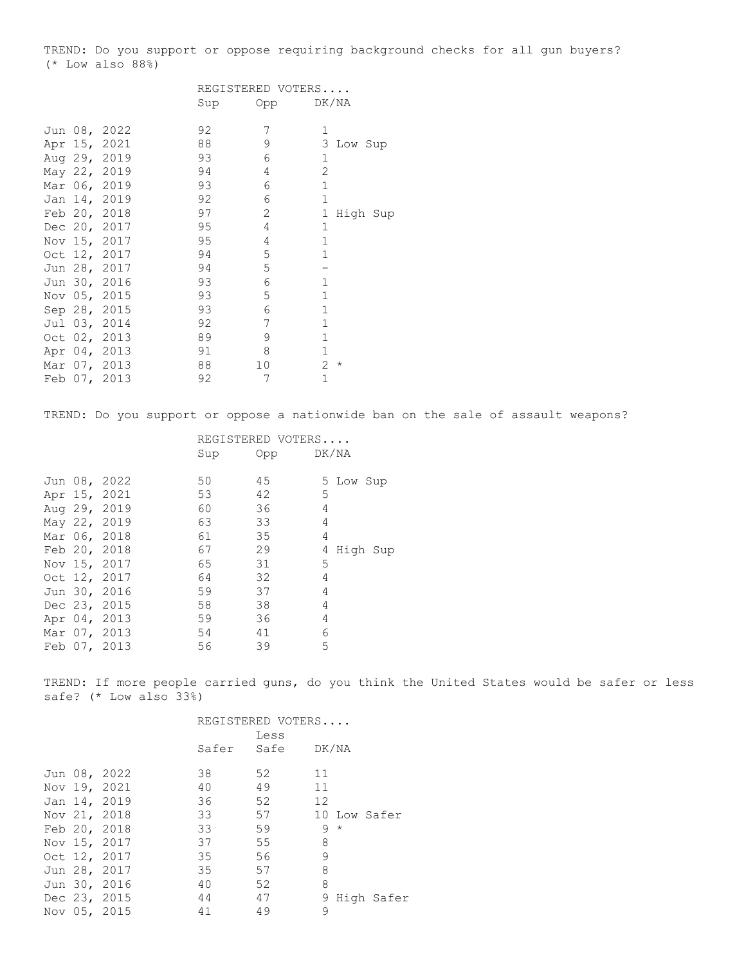TREND: Do you support or oppose requiring background checks for all gun buyers? (\* Low also 88%)

|  | REGISTERED VOTERS                                                                                                                                                                                                                                                                                            |                |                |  |
|--|--------------------------------------------------------------------------------------------------------------------------------------------------------------------------------------------------------------------------------------------------------------------------------------------------------------|----------------|----------------|--|
|  | Sup                                                                                                                                                                                                                                                                                                          | Opp            | DK/NA          |  |
|  | 92                                                                                                                                                                                                                                                                                                           | 7              | $\mathbf{1}$   |  |
|  | 88                                                                                                                                                                                                                                                                                                           | 9              | 3<br>Low Sup   |  |
|  | 93                                                                                                                                                                                                                                                                                                           | 6              | 1              |  |
|  | 94                                                                                                                                                                                                                                                                                                           | 4              | $\overline{2}$ |  |
|  | 93                                                                                                                                                                                                                                                                                                           | 6              | $\mathbf{1}$   |  |
|  | 92                                                                                                                                                                                                                                                                                                           | 6              | $\mathbf{1}$   |  |
|  | 97                                                                                                                                                                                                                                                                                                           | $\overline{2}$ | 1<br>High Sup  |  |
|  | 95                                                                                                                                                                                                                                                                                                           | 4              | $\mathbf{1}$   |  |
|  | 95                                                                                                                                                                                                                                                                                                           | 4              | $\mathbf{1}$   |  |
|  | 94                                                                                                                                                                                                                                                                                                           | 5              | $\mathbf{1}$   |  |
|  | 94                                                                                                                                                                                                                                                                                                           | 5              |                |  |
|  | 93                                                                                                                                                                                                                                                                                                           | 6              | $\mathbf{1}$   |  |
|  | 93                                                                                                                                                                                                                                                                                                           | 5              | $\mathbf{1}$   |  |
|  | 93                                                                                                                                                                                                                                                                                                           | 6              | $\mathbf{1}$   |  |
|  | 92                                                                                                                                                                                                                                                                                                           | 7              | $\mathbf{1}$   |  |
|  | 89                                                                                                                                                                                                                                                                                                           | 9              | $\mathbf{1}$   |  |
|  | 91                                                                                                                                                                                                                                                                                                           | 8              | $\mathbf{1}$   |  |
|  | 88                                                                                                                                                                                                                                                                                                           | 10             | 2<br>$^\star$  |  |
|  | 92                                                                                                                                                                                                                                                                                                           | 7              | $\mathbf{1}$   |  |
|  | Jun 08, 2022<br>Apr 15, 2021<br>Aug 29, 2019<br>May 22, 2019<br>Mar 06, 2019<br>Jan 14, 2019<br>Feb 20, 2018<br>Dec 20, 2017<br>Nov 15, 2017<br>Oct 12, 2017<br>Jun 28, 2017<br>Jun 30, 2016<br>Nov 05, 2015<br>Sep 28, 2015<br>Jul 03, 2014<br>Oct 02, 2013<br>Apr 04, 2013<br>Mar 07, 2013<br>Feb 07, 2013 |                |                |  |

TREND: Do you support or oppose a nationwide ban on the sale of assault weapons?

| REGISTERED VOTERS |              |     |     |   |           |          |
|-------------------|--------------|-----|-----|---|-----------|----------|
|                   |              | Sup | Opp |   | DK/NA     |          |
|                   |              |     |     |   |           |          |
|                   | Jun 08, 2022 | 50  | 45  |   | 5 Low Sup |          |
|                   | Apr 15, 2021 | 53  | 42  | 5 |           |          |
|                   | Aug 29, 2019 | 60  | 36  | 4 |           |          |
|                   | May 22, 2019 | 63  | 33  | 4 |           |          |
|                   | Mar 06, 2018 | 61  | 35  | 4 |           |          |
|                   | Feb 20, 2018 | 67  | 29  | 4 |           | High Sup |
|                   | Nov 15, 2017 | 65  | 31  | 5 |           |          |
|                   | Oct 12, 2017 | 64  | 32  | 4 |           |          |
|                   | Jun 30, 2016 | 59  | 37  | 4 |           |          |
|                   | Dec 23, 2015 | 58  | 38  | 4 |           |          |
|                   | Apr 04, 2013 | 59  | 36  | 4 |           |          |
|                   | Mar 07, 2013 | 54  | 41  | 6 |           |          |
|                   | Feb 07, 2013 | 56  | 39  | 5 |           |          |

TREND: If more people carried guns, do you think the United States would be safer or less safe? (\* Low also 33%)

|  |              | REGISTERED VOTERS |            |                 |  |  |
|--|--------------|-------------------|------------|-----------------|--|--|
|  |              |                   | Less       |                 |  |  |
|  |              |                   | Safer Safe | DK/NA           |  |  |
|  |              |                   |            | 11              |  |  |
|  | Jun 08, 2022 | 38                | 52         |                 |  |  |
|  | Nov 19, 2021 | 40                | 49         | 11              |  |  |
|  | Jan 14, 2019 | 36                | 52         | 12              |  |  |
|  | Nov 21, 2018 | 33                | 57         | 10 Low Safer    |  |  |
|  | Feb 20, 2018 | 33                | 59         | $9 *$           |  |  |
|  | Nov 15, 2017 | 37                | 55         | 8               |  |  |
|  | Oct 12, 2017 | 35                | 56         | 9               |  |  |
|  | Jun 28, 2017 | 35                | 57         | 8               |  |  |
|  | Jun 30, 2016 | 40                | 52         | 8               |  |  |
|  | Dec 23, 2015 | 44                | 47         | High Safer<br>9 |  |  |
|  | Nov 05, 2015 | 41                | 49         | 9               |  |  |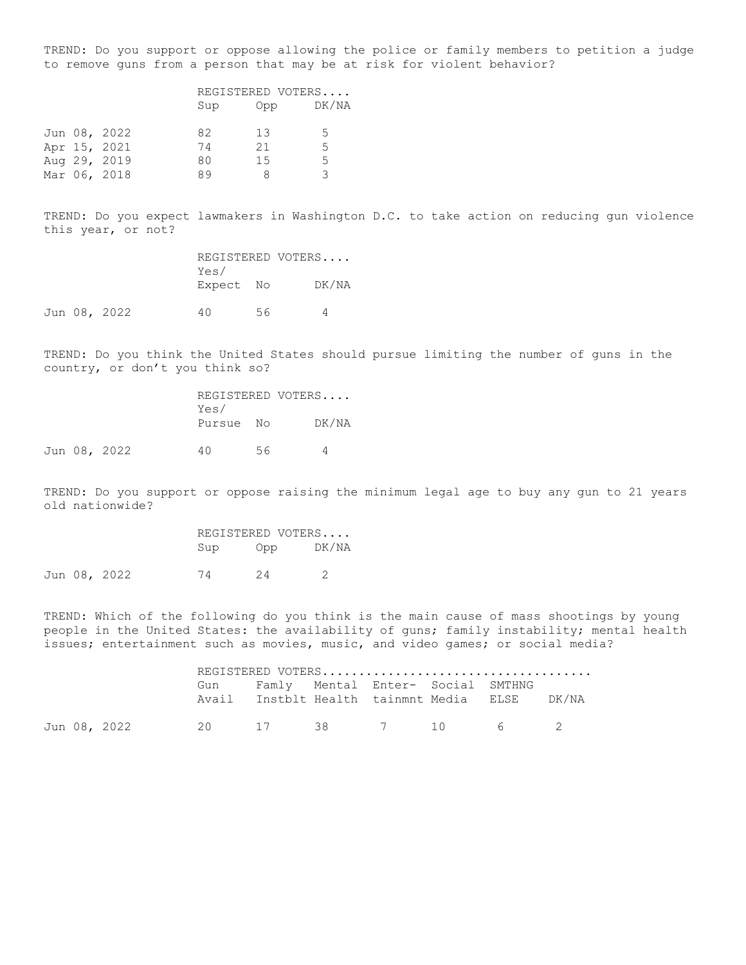TREND: Do you support or oppose allowing the police or family members to petition a judge to remove guns from a person that may be at risk for violent behavior?

|  |              | REGISTERED VOTERS |     |       |  |  |
|--|--------------|-------------------|-----|-------|--|--|
|  |              | Sup               | Opp | DK/NA |  |  |
|  | Jun 08, 2022 | 82                | 13  | -5    |  |  |
|  | Apr 15, 2021 | 74                | 21  | 5.    |  |  |
|  | Aug 29, 2019 | 80                | 15  | 5     |  |  |
|  | Mar 06, 2018 | 89                | я   | २     |  |  |

Jun 08, 2022

TREND: Do you expect lawmakers in Washington D.C. to take action on reducing gun violence this year, or not?

|  |              |           |    | REGISTERED VOTERS |  |
|--|--------------|-----------|----|-------------------|--|
|  |              | Yes/      |    |                   |  |
|  |              | Expect No |    | DK/NA             |  |
|  | Jun 08, 2022 |           | 56 |                   |  |

TREND: Do you think the United States should pursue limiting the number of guns in the country, or don't you think so?

|  |              |           | REGISTERED VOTERS |       |
|--|--------------|-----------|-------------------|-------|
|  |              | Yes/      |                   |       |
|  |              | Pursue No |                   | DK/NA |
|  |              |           |                   |       |
|  | Jun 08, 2022 | 40.       | 56                |       |

TREND: Do you support or oppose raising the minimum legal age to buy any gun to 21 years old nationwide?

|  |              |     | REGISTERED VOTERS |       |
|--|--------------|-----|-------------------|-------|
|  |              | Sup | Opp               | DK/NA |
|  | Jun 08, 2022 | 74  | 24                |       |

TREND: Which of the following do you think is the main cause of mass shootings by young people in the United States: the availability of guns; family instability; mental health issues; entertainment such as movies, music, and video games; or social media?

|  | Gun Famly Mental Enter- Social SMTHNG |  |  | Avail Instblt Health tainmnt Media ELSE DK/NA |  |
|--|---------------------------------------|--|--|-----------------------------------------------|--|
|  |                                       |  |  |                                               |  |